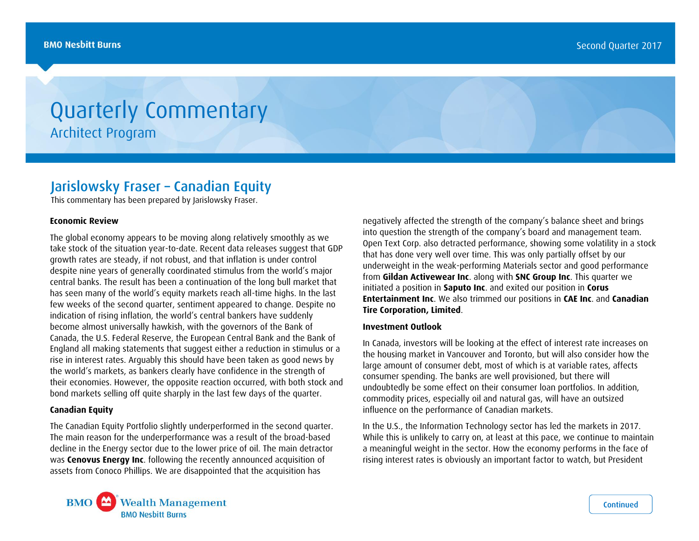# Quarterly Commentary Architect Program

## Jarislowsky Fraser – Canadian Equity

This commentary has been prepared by Jarislowsky Fraser.

#### **Economic Review**

The global economy appears to be moving along relatively smoothly as we take stock of the situation year-to-date. Recent data releases suggest that GDP growth rates are steady, if not robust, and that inflation is under control despite nine years of generally coordinated stimulus from the world's major central banks. The result has been a continuation of the long bull market that has seen many of the world's equity markets reach all-time highs. In the last few weeks of the second quarter, sentiment appeared to change. Despite no indication of rising inflation, the world's central bankers have suddenly become almost universally hawkish, with the governors of the Bank of Canada, the U.S. Federal Reserve, the European Central Bank and the Bank of England all making statements that suggest either a reduction in stimulus or a rise in interest rates. Arguably this should have been taken as good news by the world's markets, as bankers clearly have confidence in the strength of their economies. However, the opposite reaction occurred, with both stock and bond markets selling off quite sharply in the last few days of the quarter.

#### **Canadian Equity**

The Canadian Equity Portfolio slightly underperformed in the second quarter. The main reason for the underperformance was a result of the broad-based decline in the Energy sector due to the lower price of oil. The main detractor was **Cenovus Energy Inc**. following the recently announced acquisition of assets from Conoco Phillips. We are disappointed that the acquisition has

negatively affected the strength of the company's balance sheet and brings into question the strength of the company's board and management team. Open Text Corp. also detracted performance, showing some volatility in a stock that has done very well over time. This was only partially offset by our underweight in the weak-performing Materials sector and good performance from **Gildan Activewear Inc**. along with **SNC Group Inc**. This quarter we initiated a position in **Saputo Inc**. and exited our position in **Corus Entertainment Inc**. We also trimmed our positions in **CAE Inc**. and **Canadian Tire Corporation, Limited**.

### **Investment Outlook**

In Canada, investors will be looking at the effect of interest rate increases on the housing market in Vancouver and Toronto, but will also consider how the large amount of consumer debt, most of which is at variable rates, affects consumer spending. The banks are well provisioned, but there will undoubtedly be some effect on their consumer loan portfolios. In addition, commodity prices, especially oil and natural gas, will have an outsized influence on the performance of Canadian markets.

In the U.S., the Information Technology sector has led the markets in 2017. While this is unlikely to carry on, at least at this pace, we continue to maintain a meaningful weight in the sector. How the economy performs in the face of rising interest rates is obviously an important factor to watch, but President